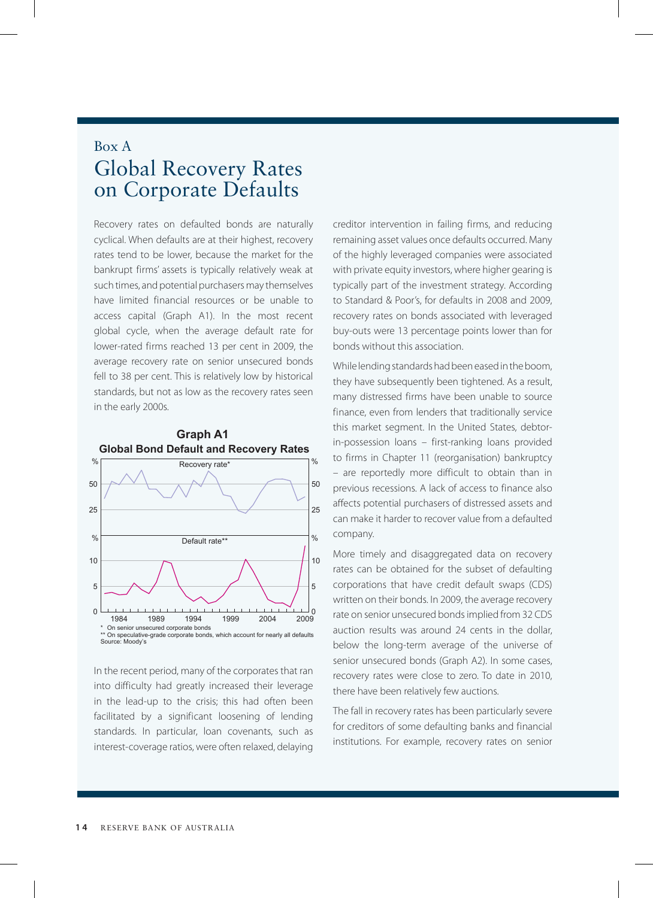## Box A Global Recovery Rates on Corporate Defaults

Recovery rates on defaulted bonds are naturally cyclical. When defaults are at their highest, recovery rates tend to be lower, because the market for the bankrupt firms' assets is typically relatively weak at such times, and potential purchasers may themselves have limited financial resources or be unable to access capital (Graph A1). In the most recent global cycle, when the average default rate for lower-rated firms reached 13 per cent in 2009, the average recovery rate on senior unsecured bonds fell to 38 per cent. This is relatively low by historical standards, but not as low as the recovery rates seen in the early 2000s.



In the recent period, many of the corporates that ran into difficulty had greatly increased their leverage in the lead-up to the crisis; this had often been facilitated by a significant loosening of lending standards. In particular, loan covenants, such as interest-coverage ratios, were often relaxed, delaying creditor intervention in failing firms, and reducing remaining asset values once defaults occurred. Many of the highly leveraged companies were associated with private equity investors, where higher gearing is typically part of the investment strategy. According to Standard & Poor's, for defaults in 2008 and 2009, recovery rates on bonds associated with leveraged buy-outs were 13 percentage points lower than for bonds without this association.

While lending standards had been eased in the boom, they have subsequently been tightened. As a result, many distressed firms have been unable to source finance, even from lenders that traditionally service this market segment. In the United States, debtorin-possession loans – first-ranking loans provided to firms in Chapter 11 (reorganisation) bankruptcy – are reportedly more difficult to obtain than in previous recessions. A lack of access to finance also affects potential purchasers of distressed assets and can make it harder to recover value from a defaulted company.

More timely and disaggregated data on recovery rates can be obtained for the subset of defaulting corporations that have credit default swaps (CDS) written on their bonds. In 2009, the average recovery rate on senior unsecured bonds implied from 32 CDS auction results was around 24 cents in the dollar, below the long-term average of the universe of senior unsecured bonds (Graph A2). In some cases, recovery rates were close to zero. To date in 2010, there have been relatively few auctions.

The fall in recovery rates has been particularly severe for creditors of some defaulting banks and financial institutions. For example, recovery rates on senior